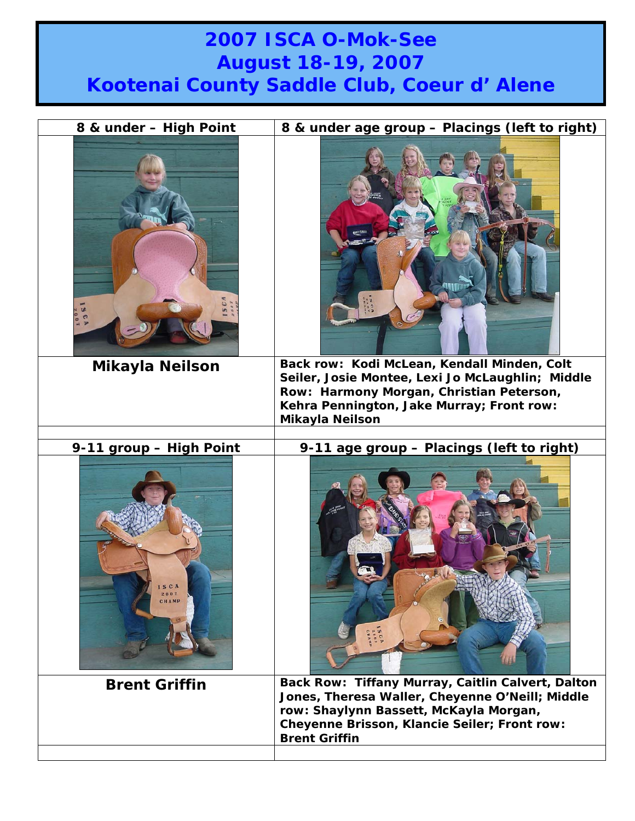## **2007 ISCA O-Mok-See August 18-19, 2007 Kootenai County Saddle Club, Coeur d' Alene**

| 8 & under - High Point        | 8 & under age group - Placings (left to right)                                                                                                                                                                         |
|-------------------------------|------------------------------------------------------------------------------------------------------------------------------------------------------------------------------------------------------------------------|
| SCA<br><b>Mikayla Neilson</b> | Back row: Kodi McLean, Kendall Minden, Colt<br>Seiler, Josie Montee, Lexi Jo McLaughlin; Middle<br>Row: Harmony Morgan, Christian Peterson,                                                                            |
|                               | Kehra Pennington, Jake Murray; Front row:<br><b>Mikayla Neilson</b>                                                                                                                                                    |
|                               |                                                                                                                                                                                                                        |
| 9-11 group - High Point       | 9-11 age group - Placings (left to right)                                                                                                                                                                              |
| SCA                           |                                                                                                                                                                                                                        |
| <b>Brent Griffin</b>          | Back Row: Tiffany Murray, Caitlin Calvert, Dalton<br>Jones, Theresa Waller, Cheyenne O'Neill; Middle<br>row: Shaylynn Bassett, McKayla Morgan,<br>Cheyenne Brisson, Klancie Seiler; Front row:<br><b>Brent Griffin</b> |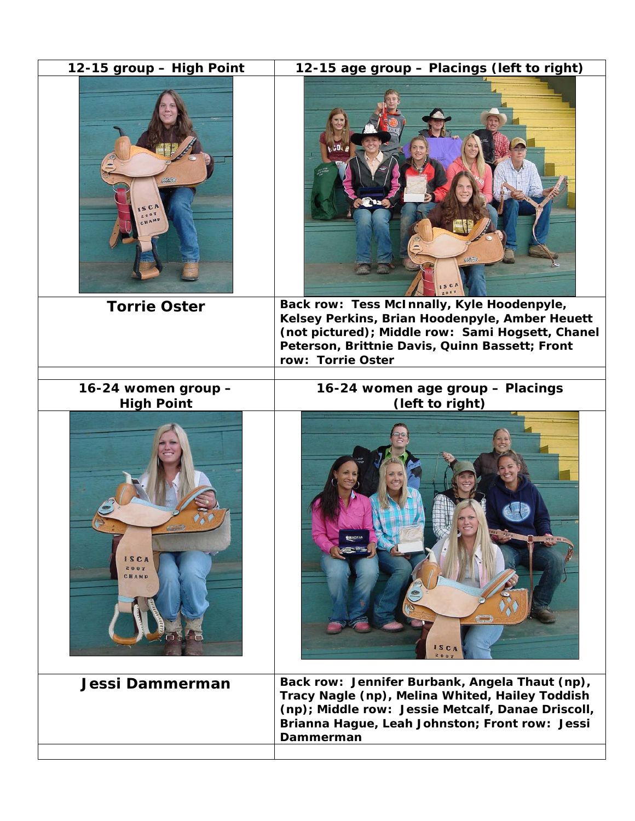| 12-15 group - High Point                 | 12-15 age group - Placings (left to right)                                                                                                                                                                              |
|------------------------------------------|-------------------------------------------------------------------------------------------------------------------------------------------------------------------------------------------------------------------------|
|                                          |                                                                                                                                                                                                                         |
| <b>Torrie Oster</b>                      | Back row: Tess McInnally, Kyle Hoodenpyle,<br>Kelsey Perkins, Brian Hoodenpyle, Amber Heuett<br>(not pictured); Middle row: Sami Hogsett, Chanel<br>Peterson, Brittnie Davis, Quinn Bassett; Front<br>row: Torrie Oster |
| 16-24 women group -<br><b>High Point</b> | 16-24 women age group - Placings<br>(left to right)                                                                                                                                                                     |
| ISCA<br>2007<br>СНАМР                    | <b>ISCA</b><br>2002                                                                                                                                                                                                     |
| Jessi Dammerman                          | Back row: Jennifer Burbank, Angela Thaut (np),<br>Tracy Nagle (np), Melina Whited, Hailey Toddish<br>(np); Middle row: Jessie Metcalf, Danae Driscoll,<br>Brianna Hague, Leah Johnston; Front row: Jessi<br>Dammerman   |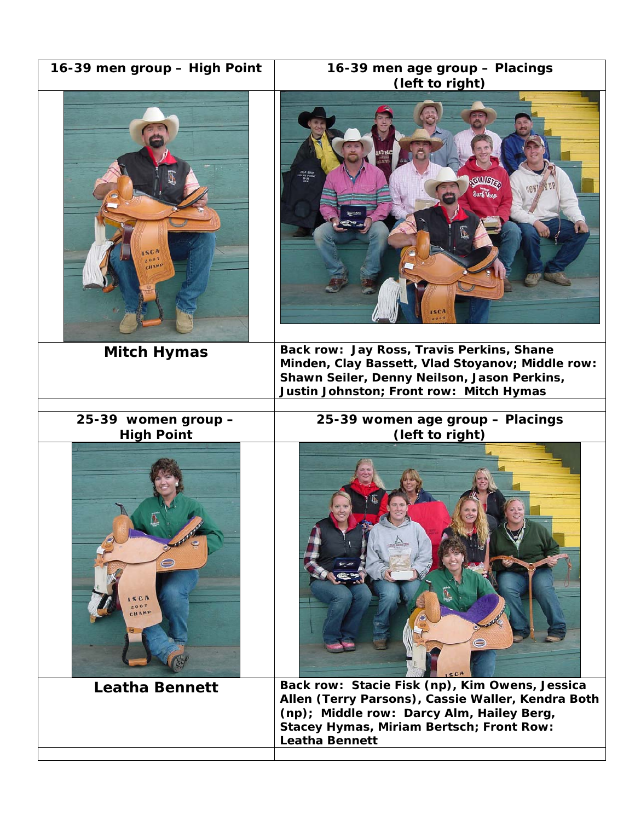| 16-39 men group - High Point             | 16-39 men age group - Placings<br>(left to right)                                                                                                                                                                     |
|------------------------------------------|-----------------------------------------------------------------------------------------------------------------------------------------------------------------------------------------------------------------------|
| SCB<br>2002<br>HAMI                      | <b>GILLISTER</b><br>Surf <i>Hop</i><br><b>ISCA</b>                                                                                                                                                                    |
| <b>Mitch Hymas</b>                       | Back row: Jay Ross, Travis Perkins, Shane<br>Minden, Clay Bassett, Vlad Stoyanov; Middle row:<br>Shawn Seiler, Denny Neilson, Jason Perkins,<br>Justin Johnston; Front row: Mitch Hymas                               |
| 25-39 women group -<br><b>High Point</b> | 25-39 women age group - Placings<br>(left to right)                                                                                                                                                                   |
| SCA<br>2002<br>CHAMP                     |                                                                                                                                                                                                                       |
| <b>Leatha Bennett</b>                    | Back row: Stacie Fisk (np), Kim Owens, Jessica<br>Allen (Terry Parsons), Cassie Waller, Kendra Both<br>(np); Middle row: Darcy Alm, Hailey Berg,<br>Stacey Hymas, Miriam Bertsch; Front Row:<br><b>Leatha Bennett</b> |